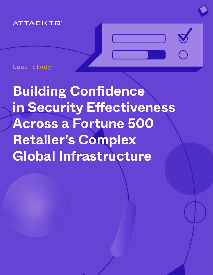### ATTACKIQ

Case Study

**Building Confidence in Security Effectiveness Across a Fortune 500 Retailer's Complex Global Infrastructure**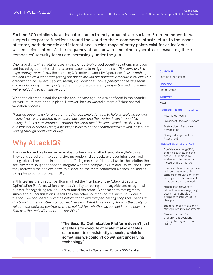Fortune 500 retailers have, by nature, an extremely broad attack surface. From the network that supports corporate functions around the world to the e-commerce infrastructure to thousands of stores, both domestic and international, a wide range of entry points exist for an individual with malicious intent. As the frequency of ransomware and other cyberattacks escalates, these companies' security teams are increasingly under the gun.

One large digital-first retailer uses a range of best-of-breed security solutions, managed and tested by both internal and external experts, to mitigate the risk. *"Ransomware is a huge priority for us,"* says the company's Director of Security Operations. *"Just watching the news makes it clear that getting our hands around our potential exposure is crucial. Our organization has several security teams, including an in-house penetration testing team, and we also bring in third-party red teams to take a different perspective and make sure we're validating everything we can."*

When the director joined the retailer about a year ago, he was confident in the security infrastructure that it had in place. However, he also wanted a more efficient control validation process.

*"I saw an opportunity for an automated attack simulation tool to help us scale up control testing,"* he says. *"I wanted to establish baselines and then verify through repetitive testing that all our environments around the world meet the same standards. Even with our substantial security staff, it wasn't possible to do that comprehensively with individuals wading through boatloads of logs."*

# Why AttackIQ?

The director and his team began evaluating breach and attack simulation (BAS) tools. They considered eight solutions, viewing vendors' slide decks and user interfaces, and doing external research. In addition to offering control validation at scale, the solution the security team sought needed to integrate with the company's SIEM and IDS solutions. Once they narrowed the choices down to a shortlist, the team conducted a hands-on, applesto-apples proof of concept (POC).

In this testing, the director particularly liked the interface of the AttackIQ Security Optimization Platform, which provides visibility to testing companywide and categorical buckets for organizing results. He also found the AttackIQ approach to testing more suitable to his organization's needs than the other solutions on the shortlist. *"Some of the tools we considered would be helpful for an external pen-testing shop that spends all day trying to breach other companies,"* he says. *"What I was looking for was the ability to validate our different controls at scale, not just test whether we can get into the network. That was the real differentiator in our POC."*



"The Security Optimization Platform doesn't just enable us to execute at scale; it also enables us to execute consistently at scale, which is something we couldn't do without underlying technology."

- Director of Security Operations, Fortune 500 Retailer

### **CUSTOMER**

Fortune 500 Retailer

#### LOCATION

United States

INDUSTRY

Retail

### HIGHLIGHTED SOLUTION AREAS

- Automated Testing
- Investment Decision Support
- Post-Incident Response Remediation
- Change Management Risk Assessment

#### PROJECT BUSINESS IMPACT

- Confidence among CISO, other executives, and the board — supported by evidence — that security measures are effective
- Demonstration of compliance with corporate security standards through consistent testing across thousands of locations around the world
- Streamlined answers to internal questions regarding downstream effects of prospective infrastructure changes
- Support for prioritization of strategic security investments
- Planned support for procurement decisions through testing of vendor claims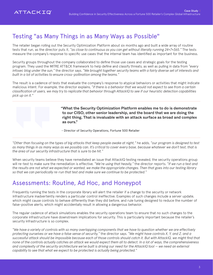## Testing "as Many Things in as Many Ways as Possible"

The retailer began rolling out the Security Optimization Platform about six months ago and built a wide array of routine tests that run, as the director puts it, *"as close to continuous as you can get without literally running 24×7×365."* The tests measure the company's response to specific use cases that the internal team has identified as important for the business.

Security groups throughout the company collaborated to define those use cases and strategic goals for the testing program. They used the MITRE ATT&CK framework to help define and classify threats, as well as pulling in data from *"every infosec blog under the sun,"* the director says. *"We brought together security teams with a fairly diverse set of interests and built in a lot of activities to ensure cross-pollination among the teams."*

The result is a cadence of tests that evaluate the company's response to atypical behaviors or activities that might indicate malicious intent. For example, the director explains, *"if there is a behavior that we would not expect to see from a certain classification of users, we may try to replicate that behavior through AttackIQ to see if our heuristic detection capabilities pick up on it."*

> "What the Security Optimization Platform enables me to do is demonstrate to our CISO, other senior leadership, and the board that we are doing the right thing. That is invaluable with an attack surface as broad and complex as ours."

- Director of Security Operations, Fortune 500 Retailer

*"Other than focusing on the types of big attacks that keep people awake at night,"* he adds, *"our program is designed to test as many things in as many ways as we possibly can. It's critical to cover every base, because whatever we don't test, that is the area of our security infrastructure that is sure to be hit."*

When security teams believe they have remediated an issue that AttackIQ testing revealed, the security operations group will re-test to make sure the remediation is effective. *"We're using that heavily,"* the director reports. *"If we run a test and the results are not what we expected or wanted, we make the appropriate changes. Then that goes into our testing library so that we can periodically re-run that test and make sure we continue to be protected."* 

### Assessments: Routine, Ad Hoc, and Honeypot

Frequently running the tests in the corporate library will alert the retailer if a change to the security or network infrastructure inadvertently renders a particular control ineffective. Examples of such changes include a server update, which might cause controls to behave differently than they did before, and rule tuning designed to reduce the number of false-positive alerts, which might accidentally result in allowing a dangerous behavior.

The regular cadence of attack simulations enables the security operations team to ensure that no such changes to the corporate infrastructure have downstream implications for security. This is particularly important because the retailer's security infrastructure is so complex.

*"We have a variety of controls with so many overlapping components that we have to question whether we are effectively protecting ourselves or we have a false sense of security,"* the director says. *"We might have controls X, Y, and Z, and a successful attack should be impossible because each of those controls should catch it. But with AttackIQ, we might find that none of the controls actually catches an attack we would expect them all to detect. In a lot of ways, the comprehensiveness and complexity of the security architecture we've built is driving our need for the AttackIQ tool — we need an external capability to see that what we expect to be protected is actually being protected."*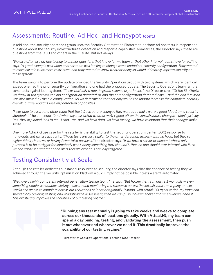### Assessments: Routine, Ad Hoc, and Honeypot (cont.)

In addition, the security operations group uses the Security Optimization Platform to perform ad hoc tests in response to questions about the security infrastructure's detection and response capabilities. Sometimes, the Director says, these are questions from the CISO and others in the C-suite. But not always.

*"We also often use ad hoc testing to answer questions that I have for my team or that other internal teams have for us,"* he says. *"A great example was when another team was looking to change some endpoints' security configuration. They wanted to make certain rules more restrictive, and they wanted to know whether doing so would ultimately improve security on those systems."* 

The team wanting to perform the update provided the Security Operations group with two systems, which were identical except one had the prior security configuration and one had the proposed update. The Security Operations team ran the same tests against both systems. *"It was basically a fourth-grade science experiment,"* the Director says. *"Of the 10 attacks we threw at the systems, the old configuration detected six and the new configuration detected nine — and the one it missed was also missed by the old configuration. So we determined that not only would the update increase the endpoints' security overall, but we wouldn't lose any detection capabilities.*

*"I was able to assure the other team that the infrastructure changes they wanted to make were a good idea from a security standpoint,"* he continues. *"And when my boss asked whether we'd signed off on the infrastructure changes, I didn't just say, 'Yes, they explained it all to me.' I said, 'Yes, and we have data, we have testing, we have validation that their changes make sense.'"*

One more AttackIQ use case for the retailer is the ability to test the security operations center (SOC) response to honeypots and canary accounts. *"Those tests are very similar to the other detection assessments we have, but they're higher fidelity in terms of having fewer false positives,"* the director says. *"If we have a server or account whose only purpose is to be a trigger for somebody who's doing something they shouldn't, then no one should ever interact with it, so we can easily see whether each alert that we expect is actually triggered."*

## Testing Consistently at Scale

Although the retailer dedicates substantial resources to security, the director says that the cadence of testing they've achieved through the Security Optimization Platform would simply not be possible if tests weren't automated.

*"We have a highly competent internal penetration testing team,"* he says. *"But having them run any test manually — even something simple like double-clicking malware and monitoring the response across the infrastructure — is going to take weeks and weeks to complete across our thousands of locations globally. Instead, with AttackIQ's agent script, my team can spend a day building, testing, and validating the assessment, then we can push it out whenever and wherever we need it. This drastically improves the scalability of our testing regime."*

> "Running any test manually is going to take weeks and weeks to complete across our thousands of locations globally. With AttackIQ, my team can spend a day building, testing, and validating the assessment, then push it out whenever and wherever we need it. This drastically improves the scalability of our testing regime."

- Director of Security Operations, Fortune 500 Retailer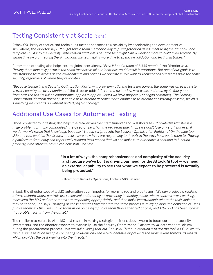## Testing Consistently at Scale (cont.)

AttackIQ's library of tactics and techniques further enhances this scalability by accelerating the development of simulations, the director says. *"It might take a team member a day to put together an assessment using the runbooks and templates built into the Security Optimization Platform. The same test might take a week or more to build from scratch. By saving time on architecting the simulations, my team gains more time to spend on validation and testing activities."*

Automation of testing also helps ensure global consistency. *"Even if I had a team of 1,000 people,"* the Director says, *"having them manually perform the same test across all our locations would result in variations. But one of our goals is to run standard tests across all the environments and regions we operate in. We want to know that all our stores have the same security, regardless of where they're located.*

*"Because testing in the Security Optimization Platform is programmatic, the tests are done in the same way on every system in every country, on every continent,"* the director adds. *"If I run the test today, next week, and then again four years from now, the results will be comparable, apples to apples, unless we have purposely changed something. The Security Optimization Platform doesn't just enable us to execute at scale; it also enables us to execute consistently at scale, which is something we couldn't do without underlying technology."*

### Additional Use Cases for Automated Testing

Global consistency in testing also helps the retailer weather staff turnover and skill shortages. *"Knowledge transfer is a huge problem for many companies,"* the director says. *"On the red team side, I hope we don't lose any staff. But even if we do, we will retain that knowledge because it's been scripted into the Security Optimization Platform." On the blue team side, the tool enables the director to make sure new hires are responding to threats in the ways he expects them to. "Having a platform to frequently and repetitively execute tests means that we can make sure our controls continue to function properly, even after we have hired new staff,"* he says.

> "In a lot of ways, the comprehensiveness and complexity of the security architecture we've built is driving our need for the AttackIQ tool — we need an external capability to see that what we expect to be protected is actually being protected."

- Director of Security Operations, Fortune 500 Retailer

In fact, the director sees AttackIQ automation as an impetus for merging red and blue teams. *"We can produce a realistic attack, validate where controls are successful at detecting or preventing it, identify places where controls aren't working, make sure the SOC and other teams are responding appropriately, and then make improvements where the tests indicate they're needed,"* he says. *"Bringing all those activities together into the same process is, in my opinion, the definition of Tier 1 purple teaming. I think we should focus more on being a purple team than either red or blue, and AttackIQ has been solving that problem for us from the outset."* 

The retailer also refers to AttackIQ test results in making strategic decisions about where to focus corporate security investments, and the director expects to eventually use the Security Optimization Platform to validate vendors' claims during the procurement process. *"We are still building that out,"* he says, *"but our intention is to use the tool in POCs. We will run the same tests on multiple competing solutions and see which identifies or prevents the most severe threats, as well as which provides the best insights into the threats."*